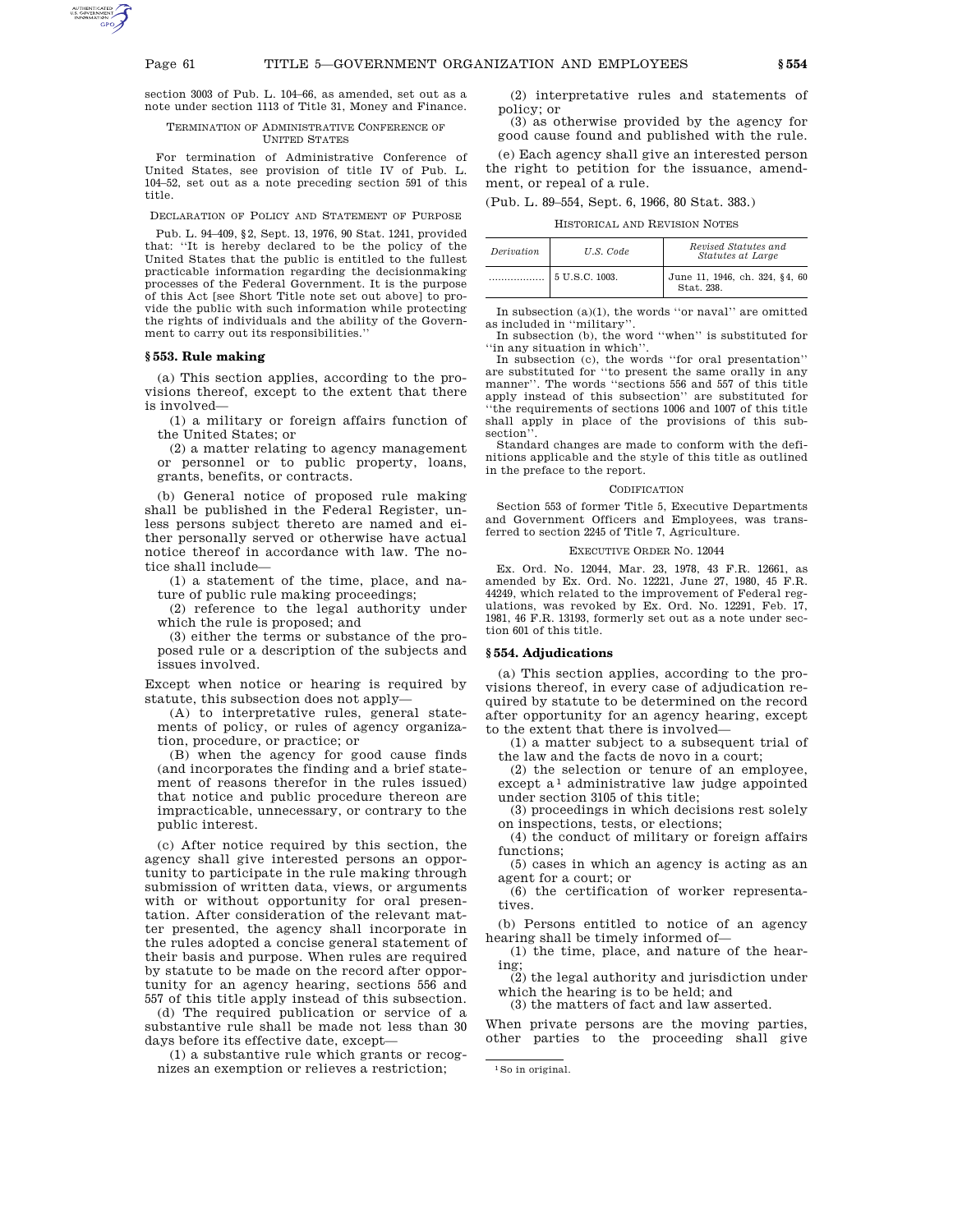section 3003 of Pub. L. 104–66, as amended, set out as a note under section 1113 of Title 31, Money and Finance.

## TERMINATION OF ADMINISTRATIVE CONFERENCE OF UNITED STATES

For termination of Administrative Conference of United States, see provision of title IV of Pub. L. 104–52, set out as a note preceding section 591 of this title.

#### DECLARATION OF POLICY AND STATEMENT OF PURPOSE

Pub. L. 94–409, §2, Sept. 13, 1976, 90 Stat. 1241, provided that: ''It is hereby declared to be the policy of the United States that the public is entitled to the fullest practicable information regarding the decisionmaking processes of the Federal Government. It is the purpose of this Act [see Short Title note set out above] to provide the public with such information while protecting the rights of individuals and the ability of the Government to carry out its responsibilities.''

### **§ 553. Rule making**

(a) This section applies, according to the provisions thereof, except to the extent that there is involved—

(1) a military or foreign affairs function of the United States; or

(2) a matter relating to agency management or personnel or to public property, loans, grants, benefits, or contracts.

(b) General notice of proposed rule making shall be published in the Federal Register, unless persons subject thereto are named and either personally served or otherwise have actual notice thereof in accordance with law. The notice shall include—

(1) a statement of the time, place, and nature of public rule making proceedings;

(2) reference to the legal authority under which the rule is proposed; and

(3) either the terms or substance of the proposed rule or a description of the subjects and issues involved.

Except when notice or hearing is required by statute, this subsection does not apply—

(A) to interpretative rules, general statements of policy, or rules of agency organization, procedure, or practice; or

(B) when the agency for good cause finds (and incorporates the finding and a brief statement of reasons therefor in the rules issued) that notice and public procedure thereon are impracticable, unnecessary, or contrary to the public interest.

(c) After notice required by this section, the agency shall give interested persons an opportunity to participate in the rule making through submission of written data, views, or arguments with or without opportunity for oral presentation. After consideration of the relevant matter presented, the agency shall incorporate in the rules adopted a concise general statement of their basis and purpose. When rules are required by statute to be made on the record after opportunity for an agency hearing, sections 556 and 557 of this title apply instead of this subsection.

(d) The required publication or service of a substantive rule shall be made not less than 30 days before its effective date, except—

(1) a substantive rule which grants or recognizes an exemption or relieves a restriction;

(2) interpretative rules and statements of policy; or

(3) as otherwise provided by the agency for good cause found and published with the rule.

(e) Each agency shall give an interested person the right to petition for the issuance, amendment, or repeal of a rule.

# (Pub. L. 89–554, Sept. 6, 1966, 80 Stat. 383.)

HISTORICAL AND REVISION NOTES

| Derivation | U.S. Code      | Revised Statutes and<br><i>Statutes at Large</i> |
|------------|----------------|--------------------------------------------------|
|            | 5 U.S.C. 1003. | June 11, 1946, ch. 324, §4, 60<br>Stat. 238.     |

In subsection  $(a)(1)$ , the words "or naval" are omitted as included in ''military''.

In subsection (b), the word ''when'' is substituted for ''in any situation in which''.

In subsection (c), the words ''for oral presentation'' are substituted for ''to present the same orally in any manner''. The words ''sections 556 and 557 of this title apply instead of this subsection'' are substituted for ''the requirements of sections 1006 and 1007 of this title shall apply in place of the provisions of this subsection''.

Standard changes are made to conform with the definitions applicable and the style of this title as outlined in the preface to the report.

#### CODIFICATION

Section 553 of former Title 5, Executive Departments and Government Officers and Employees, was transferred to section 2245 of Title 7, Agriculture.

#### EXECUTIVE ORDER NO. 12044

Ex. Ord. No. 12044, Mar. 23, 1978, 43 F.R. 12661, as amended by Ex. Ord. No. 12221, June 27, 1980, 45 F.R. 44249, which related to the improvement of Federal regulations, was revoked by Ex. Ord. No. 12291, Feb. 17, 1981, 46 F.R. 13193, formerly set out as a note under section 601 of this title.

## **§ 554. Adjudications**

(a) This section applies, according to the provisions thereof, in every case of adjudication required by statute to be determined on the record after opportunity for an agency hearing, except to the extent that there is involved—

(1) a matter subject to a subsequent trial of the law and the facts de novo in a court;

(2) the selection or tenure of an employee, except a<sup>1</sup> administrative law judge appointed under section 3105 of this title;

(3) proceedings in which decisions rest solely on inspections, tests, or elections;

(4) the conduct of military or foreign affairs functions;

(5) cases in which an agency is acting as an agent for a court; or

(6) the certification of worker representatives.

(b) Persons entitled to notice of an agency hearing shall be timely informed of—

(1) the time, place, and nature of the hearing;

(2) the legal authority and jurisdiction under which the hearing is to be held; and

(3) the matters of fact and law asserted.

When private persons are the moving parties, other parties to the proceeding shall give

<sup>1</sup>So in original.